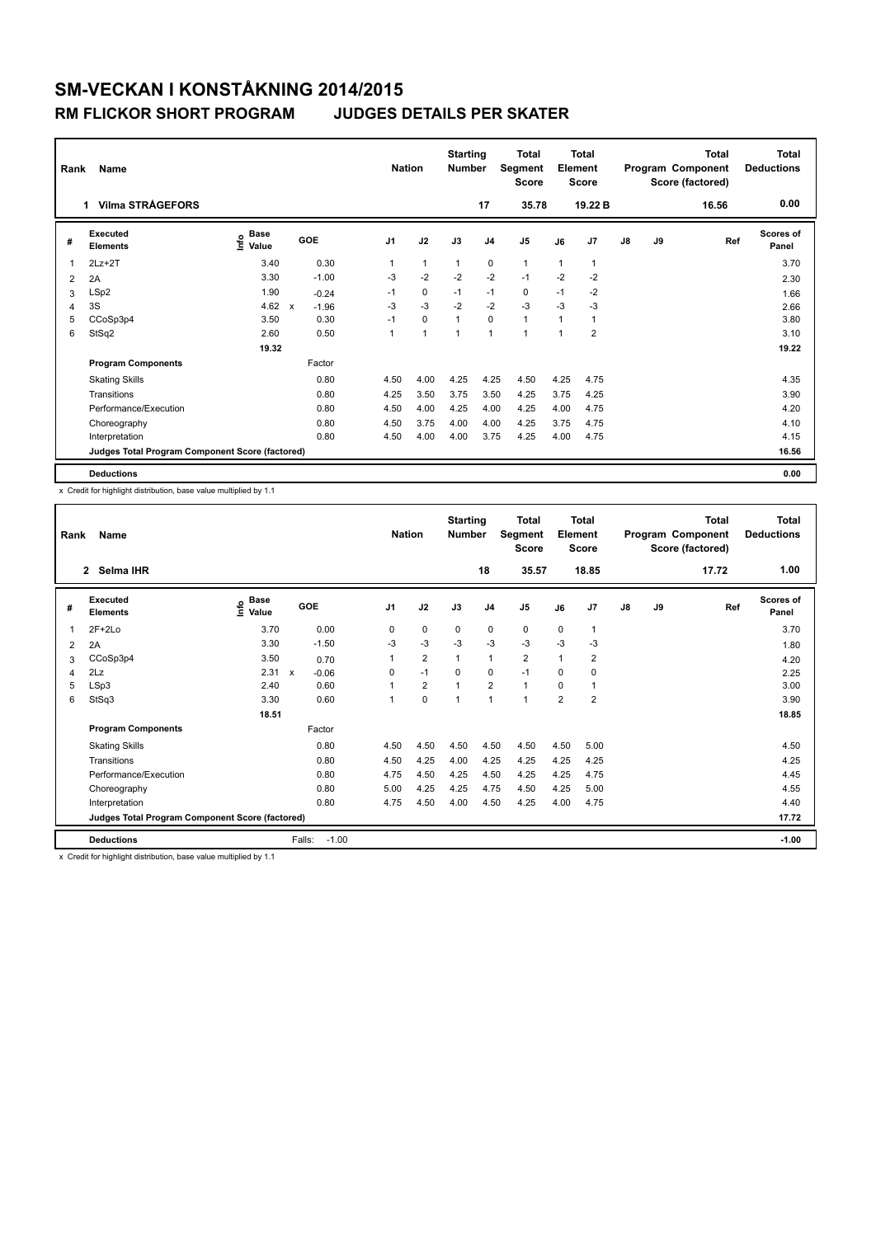### **RM FLICKOR SHORT PROGRAM JUDGES DETAILS PER SKATER**

| Rank                    | Name                                            |                              |                                      |                | <b>Nation</b>  | <b>Starting</b><br><b>Number</b> |                | <b>Total</b><br>Segment<br><b>Score</b> |      | <b>Total</b><br>Element<br><b>Score</b> |               |    | <b>Total</b><br>Program Component<br>Score (factored) | <b>Total</b><br><b>Deductions</b> |
|-------------------------|-------------------------------------------------|------------------------------|--------------------------------------|----------------|----------------|----------------------------------|----------------|-----------------------------------------|------|-----------------------------------------|---------------|----|-------------------------------------------------------|-----------------------------------|
|                         | <b>Vilma STRÅGEFORS</b><br>1.                   |                              |                                      |                |                |                                  | 17             | 35.78                                   |      | 19.22 B                                 |               |    | 16.56                                                 | 0.00                              |
| #                       | Executed<br><b>Elements</b>                     | <b>Base</b><br>١nf٥<br>Value | GOE                                  | J <sub>1</sub> | J2             | J3                               | J <sub>4</sub> | J <sub>5</sub>                          | J6   | J <sub>7</sub>                          | $\mathsf{J}8$ | J9 | Ref                                                   | <b>Scores of</b><br>Panel         |
| $\overline{\mathbf{1}}$ | $2Lz+2T$                                        | 3.40                         | 0.30                                 |                | 1              | $\mathbf{1}$                     | $\mathbf 0$    | 1                                       | 1    | 1                                       |               |    |                                                       | 3.70                              |
| 2                       | 2A                                              | 3.30                         | $-1.00$                              | -3             | $-2$           | $-2$                             | $-2$           | $-1$                                    | $-2$ | $-2$                                    |               |    |                                                       | 2.30                              |
| 3                       | LSp2                                            | 1.90                         | $-0.24$                              | $-1$           | $\mathbf 0$    | $-1$                             | $-1$           | 0                                       | $-1$ | $-2$                                    |               |    |                                                       | 1.66                              |
| 4                       | 3S                                              | 4.62                         | $\boldsymbol{\mathsf{x}}$<br>$-1.96$ | $-3$           | $-3$           | $-2$                             | $-2$           | $-3$                                    | $-3$ | $-3$                                    |               |    |                                                       | 2.66                              |
| 5                       | CCoSp3p4                                        | 3.50                         | 0.30                                 | $-1$           | $\mathbf 0$    | $\mathbf{1}$                     | $\mathbf 0$    | $\mathbf{1}$                            | 1    | 1                                       |               |    |                                                       | 3.80                              |
| 6                       | StSq2                                           | 2.60                         | 0.50                                 |                | $\overline{1}$ | $\overline{1}$                   | $\overline{1}$ | 1                                       | 1    | $\overline{2}$                          |               |    |                                                       | 3.10                              |
|                         |                                                 | 19.32                        |                                      |                |                |                                  |                |                                         |      |                                         |               |    |                                                       | 19.22                             |
|                         | <b>Program Components</b>                       |                              | Factor                               |                |                |                                  |                |                                         |      |                                         |               |    |                                                       |                                   |
|                         | <b>Skating Skills</b>                           |                              | 0.80                                 | 4.50           | 4.00           | 4.25                             | 4.25           | 4.50                                    | 4.25 | 4.75                                    |               |    |                                                       | 4.35                              |
|                         | Transitions                                     |                              | 0.80                                 | 4.25           | 3.50           | 3.75                             | 3.50           | 4.25                                    | 3.75 | 4.25                                    |               |    |                                                       | 3.90                              |
|                         | Performance/Execution                           |                              | 0.80                                 | 4.50           | 4.00           | 4.25                             | 4.00           | 4.25                                    | 4.00 | 4.75                                    |               |    |                                                       | 4.20                              |
|                         | Choreography                                    |                              | 0.80                                 | 4.50           | 3.75           | 4.00                             | 4.00           | 4.25                                    | 3.75 | 4.75                                    |               |    |                                                       | 4.10                              |
|                         | Interpretation                                  |                              | 0.80                                 | 4.50           | 4.00           | 4.00                             | 3.75           | 4.25                                    | 4.00 | 4.75                                    |               |    |                                                       | 4.15                              |
|                         | Judges Total Program Component Score (factored) |                              |                                      |                |                |                                  |                |                                         |      |                                         |               |    |                                                       | 16.56                             |
|                         | <b>Deductions</b>                               |                              |                                      |                |                |                                  |                |                                         |      |                                         |               |    |                                                       | 0.00                              |

x Credit for highlight distribution, base value multiplied by 1.1

| Rank | Name                                            |                              |                         | <b>Nation</b>  |                | <b>Starting</b><br><b>Number</b> |                | <b>Total</b><br>Segment<br>Score |                | Total<br>Element<br>Score |    |    | <b>Total</b><br>Program Component<br>Score (factored) | Total<br><b>Deductions</b> |
|------|-------------------------------------------------|------------------------------|-------------------------|----------------|----------------|----------------------------------|----------------|----------------------------------|----------------|---------------------------|----|----|-------------------------------------------------------|----------------------------|
|      | Selma IHR<br>$\overline{2}$                     |                              |                         |                |                |                                  | 18             | 35.57                            |                | 18.85                     |    |    | 17.72                                                 | 1.00                       |
| #    | Executed<br><b>Elements</b>                     | <b>Base</b><br>١nfo<br>Value | <b>GOE</b>              | J <sub>1</sub> | J2             | J3                               | J <sub>4</sub> | J <sub>5</sub>                   | J6             | J7                        | J8 | J9 | Ref                                                   | <b>Scores of</b><br>Panel  |
| 1    | $2F+2Lo$                                        | 3.70                         | 0.00                    | 0              | 0              | 0                                | 0              | 0                                | 0              | $\mathbf{1}$              |    |    |                                                       | 3.70                       |
| 2    | 2A                                              | 3.30                         | $-1.50$                 | $-3$           | $-3$           | $-3$                             | $-3$           | $-3$                             | $-3$           | -3                        |    |    |                                                       | 1.80                       |
| 3    | CCoSp3p4                                        | 3.50                         | 0.70                    | 1              | $\overline{2}$ | $\mathbf{1}$                     | $\mathbf{1}$   | $\overline{2}$                   | $\overline{1}$ | $\overline{2}$            |    |    |                                                       | 4.20                       |
| 4    | 2Lz                                             | 2.31                         | $-0.06$<br>$\pmb{\chi}$ | 0              | $-1$           | $\mathbf 0$                      | 0              | $-1$                             | 0              | 0                         |    |    |                                                       | 2.25                       |
| 5    | LSp3                                            | 2.40                         | 0.60                    |                | $\overline{2}$ | 1                                | $\overline{2}$ | $\mathbf{1}$                     | 0              | $\mathbf 1$               |    |    |                                                       | 3.00                       |
| 6    | StSq3                                           | 3.30                         | 0.60                    | 1              | 0              | 1                                | $\overline{1}$ | 1                                | $\overline{2}$ | $\overline{2}$            |    |    |                                                       | 3.90                       |
|      |                                                 | 18.51                        |                         |                |                |                                  |                |                                  |                |                           |    |    |                                                       | 18.85                      |
|      | <b>Program Components</b>                       |                              | Factor                  |                |                |                                  |                |                                  |                |                           |    |    |                                                       |                            |
|      | <b>Skating Skills</b>                           |                              | 0.80                    | 4.50           | 4.50           | 4.50                             | 4.50           | 4.50                             | 4.50           | 5.00                      |    |    |                                                       | 4.50                       |
|      | Transitions                                     |                              | 0.80                    | 4.50           | 4.25           | 4.00                             | 4.25           | 4.25                             | 4.25           | 4.25                      |    |    |                                                       | 4.25                       |
|      | Performance/Execution                           |                              | 0.80                    | 4.75           | 4.50           | 4.25                             | 4.50           | 4.25                             | 4.25           | 4.75                      |    |    |                                                       | 4.45                       |
|      | Choreography                                    |                              | 0.80                    | 5.00           | 4.25           | 4.25                             | 4.75           | 4.50                             | 4.25           | 5.00                      |    |    |                                                       | 4.55                       |
|      | Interpretation                                  |                              | 0.80                    | 4.75           | 4.50           | 4.00                             | 4.50           | 4.25                             | 4.00           | 4.75                      |    |    |                                                       | 4.40                       |
|      | Judges Total Program Component Score (factored) |                              |                         |                |                |                                  |                |                                  |                |                           |    |    |                                                       | 17.72                      |
|      | <b>Deductions</b>                               |                              | Falls:<br>$-1.00$       |                |                |                                  |                |                                  |                |                           |    |    |                                                       | $-1.00$                    |

x Credit for highlight distribution, base value multiplied by 1.1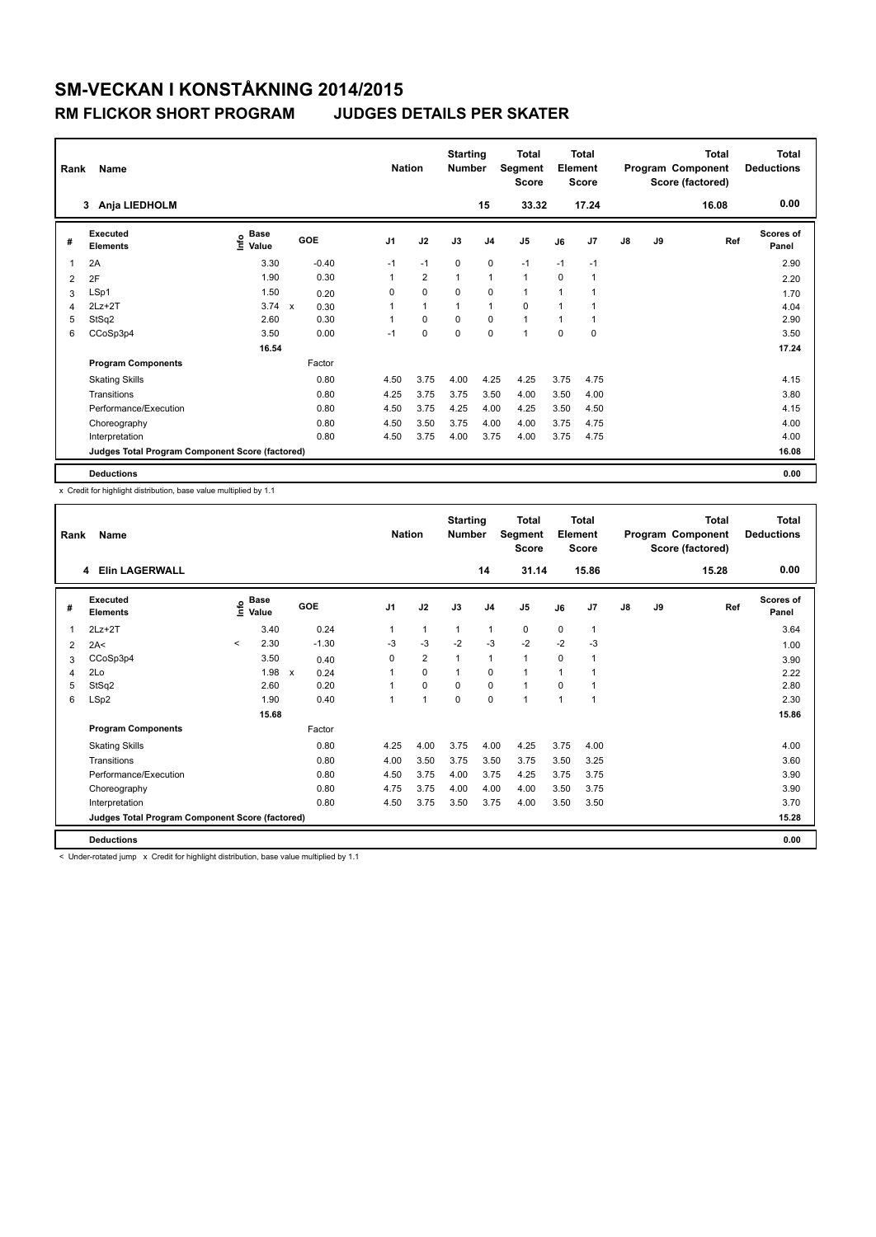### **RM FLICKOR SHORT PROGRAM JUDGES DETAILS PER SKATER**

| Rank           | Name                                            |                              |                           |         | <b>Nation</b>  |                | <b>Starting</b><br><b>Number</b> |                | <b>Total</b><br><b>Segment</b><br><b>Score</b> |          | <b>Total</b><br>Element<br><b>Score</b> |               |    | <b>Total</b><br>Program Component<br>Score (factored) | <b>Total</b><br><b>Deductions</b> |
|----------------|-------------------------------------------------|------------------------------|---------------------------|---------|----------------|----------------|----------------------------------|----------------|------------------------------------------------|----------|-----------------------------------------|---------------|----|-------------------------------------------------------|-----------------------------------|
|                | Anja LIEDHOLM<br>3                              |                              |                           |         |                |                |                                  | 15             | 33.32                                          |          | 17.24                                   |               |    | 16.08                                                 | 0.00                              |
| #              | Executed<br><b>Elements</b>                     | <b>Base</b><br>١nf٥<br>Value | GOE                       |         | J <sub>1</sub> | J2             | J3                               | J <sub>4</sub> | J <sub>5</sub>                                 | J6       | J <sub>7</sub>                          | $\mathsf{J}8$ | J9 | Ref                                                   | Scores of<br>Panel                |
| $\overline{1}$ | 2A                                              | 3.30                         |                           | $-0.40$ | $-1$           | $-1$           | $\mathbf 0$                      | $\mathbf 0$    | $-1$                                           | $-1$     | $-1$                                    |               |    |                                                       | 2.90                              |
| $\overline{2}$ | 2F                                              | 1.90                         |                           | 0.30    |                | $\overline{2}$ | $\mathbf{1}$                     | $\mathbf{1}$   | $\mathbf{1}$                                   | $\Omega$ | 1                                       |               |    |                                                       | 2.20                              |
| 3              | LSp1                                            | 1.50                         |                           | 0.20    | 0              | $\mathbf 0$    | $\mathbf 0$                      | $\pmb{0}$      | $\mathbf{1}$                                   | 1        | $\overline{1}$                          |               |    |                                                       | 1.70                              |
| 4              | $2Lz+2T$                                        | 3.74                         | $\boldsymbol{\mathsf{x}}$ | 0.30    |                | $\mathbf{1}$   | $\mathbf{1}$                     | $\mathbf{1}$   | $\Omega$                                       | 1        | 1                                       |               |    |                                                       | 4.04                              |
| 5              | StSq2                                           | 2.60                         |                           | 0.30    |                | $\mathbf 0$    | $\mathbf 0$                      | $\pmb{0}$      | $\mathbf{1}$                                   | 1        | $\mathbf 1$                             |               |    |                                                       | 2.90                              |
| 6              | CCoSp3p4                                        | 3.50                         |                           | 0.00    | $-1$           | $\mathbf 0$    | $\Omega$                         | $\mathbf 0$    | 1                                              | $\Omega$ | 0                                       |               |    |                                                       | 3.50                              |
|                |                                                 | 16.54                        |                           |         |                |                |                                  |                |                                                |          |                                         |               |    |                                                       | 17.24                             |
|                | <b>Program Components</b>                       |                              |                           | Factor  |                |                |                                  |                |                                                |          |                                         |               |    |                                                       |                                   |
|                | <b>Skating Skills</b>                           |                              |                           | 0.80    | 4.50           | 3.75           | 4.00                             | 4.25           | 4.25                                           | 3.75     | 4.75                                    |               |    |                                                       | 4.15                              |
|                | Transitions                                     |                              |                           | 0.80    | 4.25           | 3.75           | 3.75                             | 3.50           | 4.00                                           | 3.50     | 4.00                                    |               |    |                                                       | 3.80                              |
|                | Performance/Execution                           |                              |                           | 0.80    | 4.50           | 3.75           | 4.25                             | 4.00           | 4.25                                           | 3.50     | 4.50                                    |               |    |                                                       | 4.15                              |
|                | Choreography                                    |                              |                           | 0.80    | 4.50           | 3.50           | 3.75                             | 4.00           | 4.00                                           | 3.75     | 4.75                                    |               |    |                                                       | 4.00                              |
|                | Interpretation                                  |                              |                           | 0.80    | 4.50           | 3.75           | 4.00                             | 3.75           | 4.00                                           | 3.75     | 4.75                                    |               |    |                                                       | 4.00                              |
|                | Judges Total Program Component Score (factored) |                              |                           |         |                |                |                                  |                |                                                |          |                                         |               |    |                                                       | 16.08                             |
|                | <b>Deductions</b>                               |                              |                           |         |                |                |                                  |                |                                                |          |                                         |               |    |                                                       | 0.00                              |

x Credit for highlight distribution, base value multiplied by 1.1

| Rank         | Name                                            |         |                                    |                      |                | <b>Nation</b>  | <b>Starting</b><br><b>Number</b> |                | <b>Total</b><br>Segment<br><b>Score</b> |                | <b>Total</b><br>Element<br><b>Score</b> |               |    | <b>Total</b><br>Program Component<br>Score (factored) | Total<br><b>Deductions</b> |
|--------------|-------------------------------------------------|---------|------------------------------------|----------------------|----------------|----------------|----------------------------------|----------------|-----------------------------------------|----------------|-----------------------------------------|---------------|----|-------------------------------------------------------|----------------------------|
|              | <b>Elin LAGERWALL</b><br>4                      |         |                                    |                      |                |                |                                  | 14             | 31.14                                   |                | 15.86                                   |               |    | 15.28                                                 | 0.00                       |
| #            | Executed<br><b>Elements</b>                     |         | <b>Base</b><br>$\frac{6}{5}$ Value | GOE                  | J <sub>1</sub> | J2             | J3                               | J <sub>4</sub> | J <sub>5</sub>                          | J6             | J7                                      | $\mathsf{J}8$ | J9 | Ref                                                   | Scores of<br>Panel         |
| $\mathbf{1}$ | $2Lz+2T$                                        |         | 3.40                               | 0.24                 | $\overline{1}$ | 1              | $\mathbf{1}$                     | 1              | 0                                       | 0              | $\overline{1}$                          |               |    |                                                       | 3.64                       |
| 2            | 2A<                                             | $\prec$ | 2.30                               | $-1.30$              | $-3$           | $-3$           | $-2$                             | $-3$           | $-2$                                    | $-2$           | -3                                      |               |    |                                                       | 1.00                       |
| 3            | CCoSp3p4                                        |         | 3.50                               | 0.40                 | 0              | $\overline{2}$ | 1                                | $\mathbf{1}$   | $\mathbf{1}$                            | $\mathbf 0$    | $\overline{1}$                          |               |    |                                                       | 3.90                       |
| 4            | 2Lo                                             |         | 1.98                               | 0.24<br>$\mathsf{x}$ |                | 0              | 1                                | 0              | $\mathbf{1}$                            |                |                                         |               |    |                                                       | 2.22                       |
| 5            | StSq2                                           |         | 2.60                               | 0.20                 |                | 0              | 0                                | $\mathbf 0$    | $\mathbf{1}$                            | 0              | 1                                       |               |    |                                                       | 2.80                       |
| 6            | LSp2                                            |         | 1.90                               | 0.40                 | 1              | 1              | 0                                | 0              | 1                                       | $\overline{1}$ | $\overline{1}$                          |               |    |                                                       | 2.30                       |
|              |                                                 |         | 15.68                              |                      |                |                |                                  |                |                                         |                |                                         |               |    |                                                       | 15.86                      |
|              | <b>Program Components</b>                       |         |                                    | Factor               |                |                |                                  |                |                                         |                |                                         |               |    |                                                       |                            |
|              | <b>Skating Skills</b>                           |         |                                    | 0.80                 | 4.25           | 4.00           | 3.75                             | 4.00           | 4.25                                    | 3.75           | 4.00                                    |               |    |                                                       | 4.00                       |
|              | Transitions                                     |         |                                    | 0.80                 | 4.00           | 3.50           | 3.75                             | 3.50           | 3.75                                    | 3.50           | 3.25                                    |               |    |                                                       | 3.60                       |
|              | Performance/Execution                           |         |                                    | 0.80                 | 4.50           | 3.75           | 4.00                             | 3.75           | 4.25                                    | 3.75           | 3.75                                    |               |    |                                                       | 3.90                       |
|              | Choreography                                    |         |                                    | 0.80                 | 4.75           | 3.75           | 4.00                             | 4.00           | 4.00                                    | 3.50           | 3.75                                    |               |    |                                                       | 3.90                       |
|              | Interpretation                                  |         |                                    | 0.80                 | 4.50           | 3.75           | 3.50                             | 3.75           | 4.00                                    | 3.50           | 3.50                                    |               |    |                                                       | 3.70                       |
|              | Judges Total Program Component Score (factored) |         |                                    |                      |                |                |                                  |                |                                         |                |                                         |               |    |                                                       | 15.28                      |
|              | <b>Deductions</b>                               |         |                                    |                      |                |                |                                  |                |                                         |                |                                         |               |    |                                                       | 0.00                       |

< Under-rotated jump x Credit for highlight distribution, base value multiplied by 1.1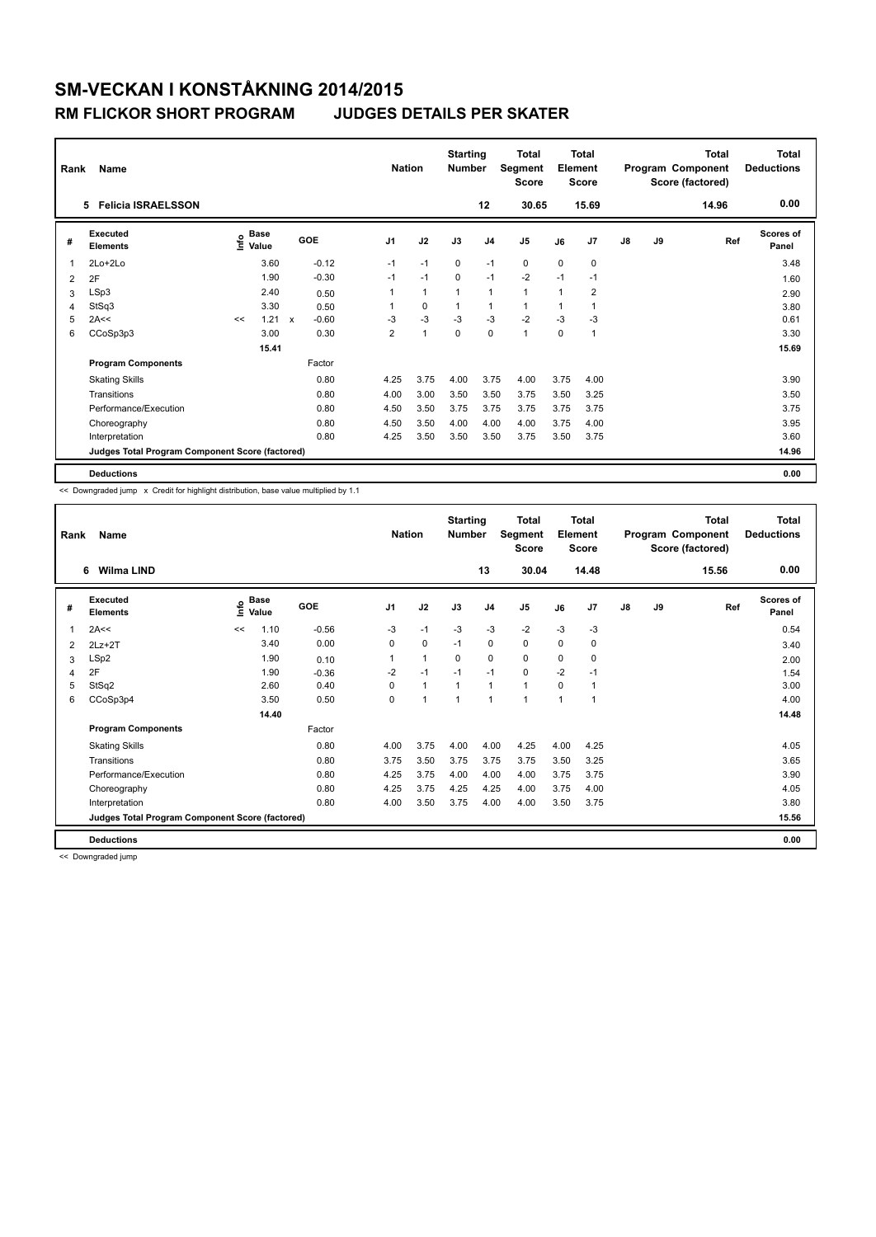### **RM FLICKOR SHORT PROGRAM JUDGES DETAILS PER SKATER**

| Rank           | Name                                            |      |                      |              |         |                | <b>Nation</b> |                | <b>Starting</b><br><b>Number</b> |                | Total<br>Segment<br><b>Score</b> |          | Total<br>Element<br><b>Score</b> |    |    | <b>Total</b><br>Program Component<br>Score (factored) | <b>Total</b><br><b>Deductions</b> |
|----------------|-------------------------------------------------|------|----------------------|--------------|---------|----------------|---------------|----------------|----------------------------------|----------------|----------------------------------|----------|----------------------------------|----|----|-------------------------------------------------------|-----------------------------------|
|                | <b>Felicia ISRAELSSON</b><br>5.                 |      |                      |              |         |                |               |                |                                  | 12             | 30.65                            |          | 15.69                            |    |    | 14.96                                                 | 0.00                              |
| #              | Executed<br><b>Elements</b>                     | ١nf٥ | <b>Base</b><br>Value |              | GOE     | J <sub>1</sub> |               | J2             | J3                               | J <sub>4</sub> | J <sub>5</sub>                   | J6       | J7                               | J8 | J9 | Ref                                                   | Scores of<br>Panel                |
| $\overline{1}$ | $2Lo+2Lo$                                       |      | 3.60                 |              | $-0.12$ | $-1$           |               | $-1$           | $\Omega$                         | $-1$           | $\mathbf 0$                      | $\Omega$ | $\mathbf 0$                      |    |    |                                                       | 3.48                              |
| 2              | 2F                                              |      | 1.90                 |              | $-0.30$ | $-1$           |               | $-1$           | $\Omega$                         | $-1$           | $-2$                             | $-1$     | $-1$                             |    |    |                                                       | 1.60                              |
| 3              | LSp3                                            |      | 2.40                 |              | 0.50    |                |               | $\mathbf{1}$   | $\mathbf{1}$                     | $\mathbf{1}$   | $\mathbf{1}$                     | 1        | $\overline{2}$                   |    |    |                                                       | 2.90                              |
| 4              | StSq3                                           |      | 3.30                 |              | 0.50    |                |               | $\mathbf 0$    | $\mathbf{1}$                     | $\mathbf{1}$   | 1                                | 1        | 1                                |    |    |                                                       | 3.80                              |
| 5              | 2A<<                                            | <<   | 1.21                 | $\mathbf{x}$ | $-0.60$ | $-3$           |               | $-3$           | $-3$                             | $-3$           | $-2$                             | $-3$     | $-3$                             |    |    |                                                       | 0.61                              |
| 6              | CCoSp3p3                                        |      | 3.00                 |              | 0.30    | $\overline{2}$ |               | $\overline{1}$ | $\Omega$                         | $\Omega$       | 1                                | $\Omega$ | 1                                |    |    |                                                       | 3.30                              |
|                |                                                 |      | 15.41                |              |         |                |               |                |                                  |                |                                  |          |                                  |    |    |                                                       | 15.69                             |
|                | <b>Program Components</b>                       |      |                      |              | Factor  |                |               |                |                                  |                |                                  |          |                                  |    |    |                                                       |                                   |
|                | <b>Skating Skills</b>                           |      |                      |              | 0.80    | 4.25           |               | 3.75           | 4.00                             | 3.75           | 4.00                             | 3.75     | 4.00                             |    |    |                                                       | 3.90                              |
|                | Transitions                                     |      |                      |              | 0.80    | 4.00           |               | 3.00           | 3.50                             | 3.50           | 3.75                             | 3.50     | 3.25                             |    |    |                                                       | 3.50                              |
|                | Performance/Execution                           |      |                      |              | 0.80    | 4.50           |               | 3.50           | 3.75                             | 3.75           | 3.75                             | 3.75     | 3.75                             |    |    |                                                       | 3.75                              |
|                | Choreography                                    |      |                      |              | 0.80    | 4.50           |               | 3.50           | 4.00                             | 4.00           | 4.00                             | 3.75     | 4.00                             |    |    |                                                       | 3.95                              |
|                | Interpretation                                  |      |                      |              | 0.80    | 4.25           |               | 3.50           | 3.50                             | 3.50           | 3.75                             | 3.50     | 3.75                             |    |    |                                                       | 3.60                              |
|                | Judges Total Program Component Score (factored) |      |                      |              |         |                |               |                |                                  |                |                                  |          |                                  |    |    |                                                       | 14.96                             |
|                | <b>Deductions</b>                               |      |                      |              |         |                |               |                |                                  |                |                                  |          |                                  |    |    |                                                       | 0.00                              |

<< Downgraded jump x Credit for highlight distribution, base value multiplied by 1.1

| Rank | Name                                            |    |                      |            | <b>Nation</b>  |              | <b>Starting</b><br><b>Number</b> |                | Total<br>Segment<br><b>Score</b> |      | <b>Total</b><br>Element<br><b>Score</b> |               |    | <b>Total</b><br>Program Component<br>Score (factored) | <b>Total</b><br><b>Deductions</b> |
|------|-------------------------------------------------|----|----------------------|------------|----------------|--------------|----------------------------------|----------------|----------------------------------|------|-----------------------------------------|---------------|----|-------------------------------------------------------|-----------------------------------|
|      | <b>Wilma LIND</b><br>6                          |    |                      |            |                |              |                                  | 13             | 30.04                            |      | 14.48                                   |               |    | 15.56                                                 | 0.00                              |
| #    | Executed<br><b>Elements</b>                     | ۴  | <b>Base</b><br>Value | <b>GOE</b> | J <sub>1</sub> | J2           | J3                               | J <sub>4</sub> | J <sub>5</sub>                   | J6   | J7                                      | $\mathsf{J}8$ | J9 | Ref                                                   | Scores of<br>Panel                |
| 1    | 2A<<                                            | << | 1.10                 | $-0.56$    | $-3$           | $-1$         | $-3$                             | $-3$           | $-2$                             | $-3$ | $-3$                                    |               |    |                                                       | 0.54                              |
| 2    | $2Lz+2T$                                        |    | 3.40                 | 0.00       | 0              | 0            | $-1$                             | $\mathbf 0$    | 0                                | 0    | 0                                       |               |    |                                                       | 3.40                              |
| 3    | LSp2                                            |    | 1.90                 | 0.10       | 1              | 1            | $\Omega$                         | $\mathbf 0$    | 0                                | 0    | 0                                       |               |    |                                                       | 2.00                              |
| 4    | 2F                                              |    | 1.90                 | $-0.36$    | $-2$           | $-1$         | $-1$                             | $-1$           | 0                                | $-2$ | $-1$                                    |               |    |                                                       | 1.54                              |
| 5    | StSq2                                           |    | 2.60                 | 0.40       | $\Omega$       | $\mathbf{1}$ | 1                                | $\mathbf{1}$   | $\mathbf{1}$                     | 0    | $\overline{1}$                          |               |    |                                                       | 3.00                              |
| 6    | CCoSp3p4                                        |    | 3.50                 | 0.50       | 0              | 1            | 1                                | $\overline{1}$ | 1                                | 1    | $\overline{1}$                          |               |    |                                                       | 4.00                              |
|      |                                                 |    | 14.40                |            |                |              |                                  |                |                                  |      |                                         |               |    |                                                       | 14.48                             |
|      | <b>Program Components</b>                       |    |                      | Factor     |                |              |                                  |                |                                  |      |                                         |               |    |                                                       |                                   |
|      | <b>Skating Skills</b>                           |    |                      | 0.80       | 4.00           | 3.75         | 4.00                             | 4.00           | 4.25                             | 4.00 | 4.25                                    |               |    |                                                       | 4.05                              |
|      | Transitions                                     |    |                      | 0.80       | 3.75           | 3.50         | 3.75                             | 3.75           | 3.75                             | 3.50 | 3.25                                    |               |    |                                                       | 3.65                              |
|      | Performance/Execution                           |    |                      | 0.80       | 4.25           | 3.75         | 4.00                             | 4.00           | 4.00                             | 3.75 | 3.75                                    |               |    |                                                       | 3.90                              |
|      | Choreography                                    |    |                      | 0.80       | 4.25           | 3.75         | 4.25                             | 4.25           | 4.00                             | 3.75 | 4.00                                    |               |    |                                                       | 4.05                              |
|      | Interpretation                                  |    |                      | 0.80       | 4.00           | 3.50         | 3.75                             | 4.00           | 4.00                             | 3.50 | 3.75                                    |               |    |                                                       | 3.80                              |
|      | Judges Total Program Component Score (factored) |    |                      |            |                |              |                                  |                |                                  |      |                                         |               |    |                                                       | 15.56                             |
|      | <b>Deductions</b>                               |    |                      |            |                |              |                                  |                |                                  |      |                                         |               |    |                                                       | 0.00                              |

<< Downgraded jump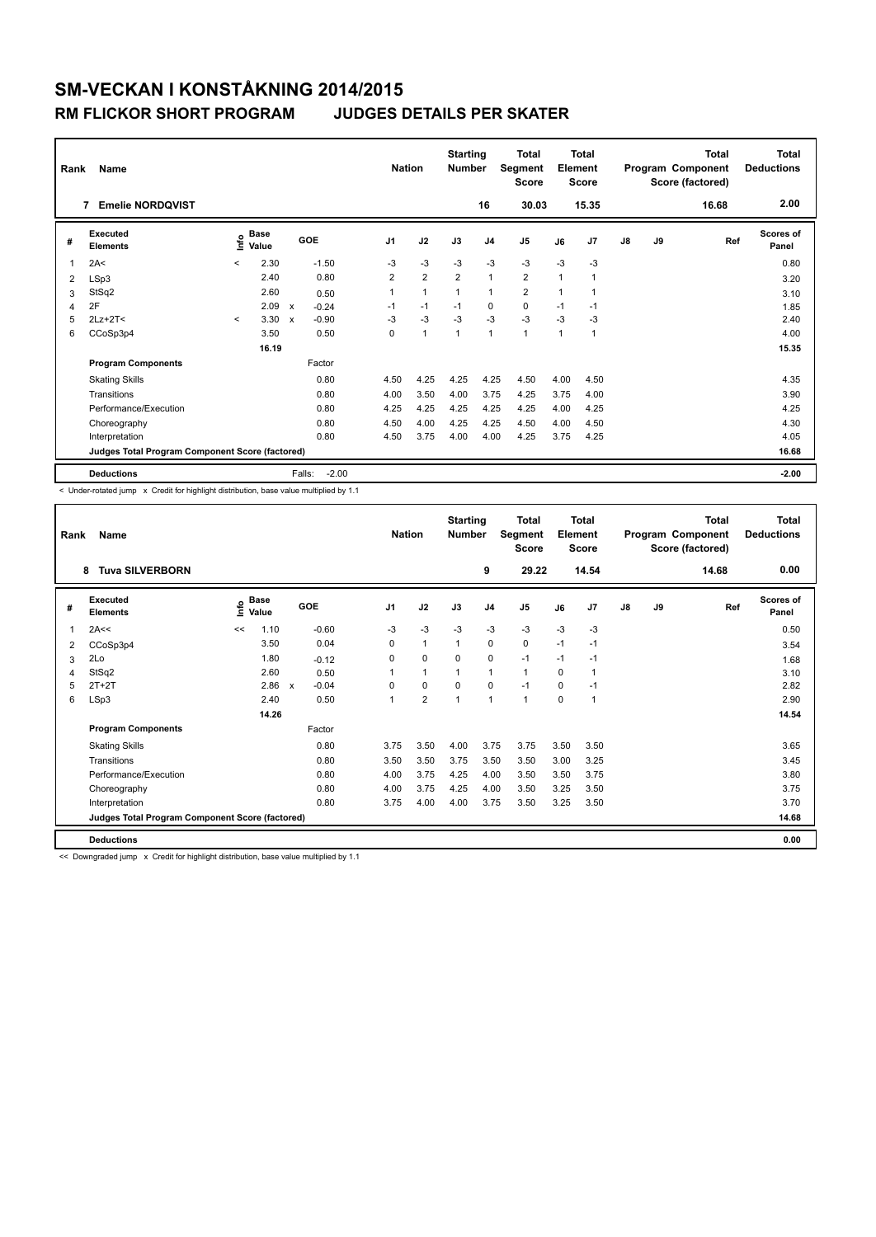### **RM FLICKOR SHORT PROGRAM JUDGES DETAILS PER SKATER**

| Rank | Name<br><b>Emelie NORDOVIST</b><br>7            |         |                      |                           |         | <b>Nation</b>  |                | <b>Starting</b><br><b>Number</b> | 16             | <b>Total</b><br>Segment<br><b>Score</b><br>30.03 |      | <b>Total</b><br>Element<br><b>Score</b><br>15.35 |               |    | <b>Total</b><br>Program Component<br>Score (factored)<br>16.68 | <b>Total</b><br><b>Deductions</b><br>2.00 |
|------|-------------------------------------------------|---------|----------------------|---------------------------|---------|----------------|----------------|----------------------------------|----------------|--------------------------------------------------|------|--------------------------------------------------|---------------|----|----------------------------------------------------------------|-------------------------------------------|
| #    | Executed<br><b>Elements</b>                     | ۴ů      | <b>Base</b><br>Value | GOE                       |         | J <sub>1</sub> | J2             | J3                               | J <sub>4</sub> | J5                                               | J6   | J7                                               | $\mathsf{J}8$ | J9 | Ref                                                            | <b>Scores of</b><br>Panel                 |
| 1    | 2A<                                             | $\prec$ | 2.30                 |                           | $-1.50$ | -3             | $-3$           | $-3$                             | $-3$           | $-3$                                             | $-3$ | $-3$                                             |               |    |                                                                | 0.80                                      |
| 2    | LSp3                                            |         | 2.40                 |                           | 0.80    | $\overline{2}$ | $\overline{2}$ | $\overline{2}$                   | $\mathbf{1}$   | $\overline{2}$                                   | 1    | $\overline{1}$                                   |               |    |                                                                | 3.20                                      |
| 3    | StSq2                                           |         | 2.60                 |                           | 0.50    | 1              | $\mathbf{1}$   | 1                                | $\mathbf{1}$   | $\overline{\mathbf{c}}$                          | 1    | -1                                               |               |    |                                                                | 3.10                                      |
| 4    | 2F                                              |         | 2.09                 | $\boldsymbol{\mathsf{x}}$ | $-0.24$ | $-1$           | $-1$           | $-1$                             | 0              | $\mathbf 0$                                      | $-1$ | $-1$                                             |               |    |                                                                | 1.85                                      |
| 5    | $2Lz+2T<$                                       | $\prec$ | 3.30                 | $\boldsymbol{\mathsf{x}}$ | $-0.90$ | $-3$           | $-3$           | $-3$                             | $-3$           | $-3$                                             | $-3$ | $-3$                                             |               |    |                                                                | 2.40                                      |
| 6    | CCoSp3p4                                        |         | 3.50                 |                           | 0.50    | 0              | $\overline{1}$ | $\mathbf{1}$                     | $\mathbf{1}$   | 1                                                | 1    | $\overline{1}$                                   |               |    |                                                                | 4.00                                      |
|      |                                                 |         | 16.19                |                           |         |                |                |                                  |                |                                                  |      |                                                  |               |    |                                                                | 15.35                                     |
|      | <b>Program Components</b>                       |         |                      |                           | Factor  |                |                |                                  |                |                                                  |      |                                                  |               |    |                                                                |                                           |
|      | <b>Skating Skills</b>                           |         |                      |                           | 0.80    | 4.50           | 4.25           | 4.25                             | 4.25           | 4.50                                             | 4.00 | 4.50                                             |               |    |                                                                | 4.35                                      |
|      | Transitions                                     |         |                      |                           | 0.80    | 4.00           | 3.50           | 4.00                             | 3.75           | 4.25                                             | 3.75 | 4.00                                             |               |    |                                                                | 3.90                                      |
|      | Performance/Execution                           |         |                      |                           | 0.80    | 4.25           | 4.25           | 4.25                             | 4.25           | 4.25                                             | 4.00 | 4.25                                             |               |    |                                                                | 4.25                                      |
|      | Choreography                                    |         |                      |                           | 0.80    | 4.50           | 4.00           | 4.25                             | 4.25           | 4.50                                             | 4.00 | 4.50                                             |               |    |                                                                | 4.30                                      |
|      | Interpretation                                  |         |                      |                           | 0.80    | 4.50           | 3.75           | 4.00                             | 4.00           | 4.25                                             | 3.75 | 4.25                                             |               |    |                                                                | 4.05                                      |
|      | Judges Total Program Component Score (factored) |         |                      |                           |         |                |                |                                  |                |                                                  |      |                                                  |               |    |                                                                | 16.68                                     |
|      | <b>Deductions</b>                               |         |                      | Falls:                    | $-2.00$ |                |                |                                  |                |                                                  |      |                                                  |               |    |                                                                | $-2.00$                                   |

< Under-rotated jump x Credit for highlight distribution, base value multiplied by 1.1

| Rank | Name                                            |    |                                  |                         |                | <b>Nation</b>  | <b>Starting</b><br><b>Number</b> |                | Total<br>Segment<br><b>Score</b> |      | <b>Total</b><br>Element<br><b>Score</b> |               |    | <b>Total</b><br>Program Component<br>Score (factored) | Total<br><b>Deductions</b> |
|------|-------------------------------------------------|----|----------------------------------|-------------------------|----------------|----------------|----------------------------------|----------------|----------------------------------|------|-----------------------------------------|---------------|----|-------------------------------------------------------|----------------------------|
|      | <b>Tuva SILVERBORN</b><br>8                     |    |                                  |                         |                |                |                                  | 9              | 29.22                            |      | 14.54                                   |               |    | 14.68                                                 | 0.00                       |
| #    | Executed<br><b>Elements</b>                     |    | <b>Base</b><br>e Base<br>⊆ Value | GOE                     | J <sub>1</sub> | J2             | J3                               | J <sub>4</sub> | J <sub>5</sub>                   | J6   | J7                                      | $\mathsf{J}8$ | J9 | Ref                                                   | Scores of<br>Panel         |
| 1    | 2A<<                                            | << | 1.10                             | $-0.60$                 | $-3$           | $-3$           | $-3$                             | $-3$           | $-3$                             | $-3$ | $-3$                                    |               |    |                                                       | 0.50                       |
| 2    | CCoSp3p4                                        |    | 3.50                             | 0.04                    | 0              | $\mathbf{1}$   | $\mathbf{1}$                     | 0              | 0                                | $-1$ | $-1$                                    |               |    |                                                       | 3.54                       |
| 3    | 2Lo                                             |    | 1.80                             | $-0.12$                 | 0              | 0              | $\mathbf 0$                      | $\mathbf 0$    | $-1$                             | $-1$ | $-1$                                    |               |    |                                                       | 1.68                       |
| 4    | StSq2                                           |    | 2.60                             | 0.50                    |                | 1              | 1                                | $\mathbf{1}$   | $\mathbf{1}$                     | 0    | $\overline{1}$                          |               |    |                                                       | 3.10                       |
| 5    | $2T+2T$                                         |    | 2.86                             | $-0.04$<br>$\mathsf{x}$ | $\Omega$       | 0              | $\Omega$                         | $\mathbf 0$    | $-1$                             | 0    | $-1$                                    |               |    |                                                       | 2.82                       |
| 6    | LSp3                                            |    | 2.40                             | 0.50                    | 1              | $\overline{2}$ | 1                                | $\mathbf{1}$   | 1                                | 0    | $\mathbf{1}$                            |               |    |                                                       | 2.90                       |
|      |                                                 |    | 14.26                            |                         |                |                |                                  |                |                                  |      |                                         |               |    |                                                       | 14.54                      |
|      | <b>Program Components</b>                       |    |                                  | Factor                  |                |                |                                  |                |                                  |      |                                         |               |    |                                                       |                            |
|      | <b>Skating Skills</b>                           |    |                                  | 0.80                    | 3.75           | 3.50           | 4.00                             | 3.75           | 3.75                             | 3.50 | 3.50                                    |               |    |                                                       | 3.65                       |
|      | Transitions                                     |    |                                  | 0.80                    | 3.50           | 3.50           | 3.75                             | 3.50           | 3.50                             | 3.00 | 3.25                                    |               |    |                                                       | 3.45                       |
|      | Performance/Execution                           |    |                                  | 0.80                    | 4.00           | 3.75           | 4.25                             | 4.00           | 3.50                             | 3.50 | 3.75                                    |               |    |                                                       | 3.80                       |
|      | Choreography                                    |    |                                  | 0.80                    | 4.00           | 3.75           | 4.25                             | 4.00           | 3.50                             | 3.25 | 3.50                                    |               |    |                                                       | 3.75                       |
|      | Interpretation                                  |    |                                  | 0.80                    | 3.75           | 4.00           | 4.00                             | 3.75           | 3.50                             | 3.25 | 3.50                                    |               |    |                                                       | 3.70                       |
|      | Judges Total Program Component Score (factored) |    |                                  |                         |                |                |                                  |                |                                  |      |                                         |               |    |                                                       | 14.68                      |
|      | <b>Deductions</b>                               |    |                                  |                         |                |                |                                  |                |                                  |      |                                         |               |    |                                                       | 0.00                       |

<< Downgraded jump x Credit for highlight distribution, base value multiplied by 1.1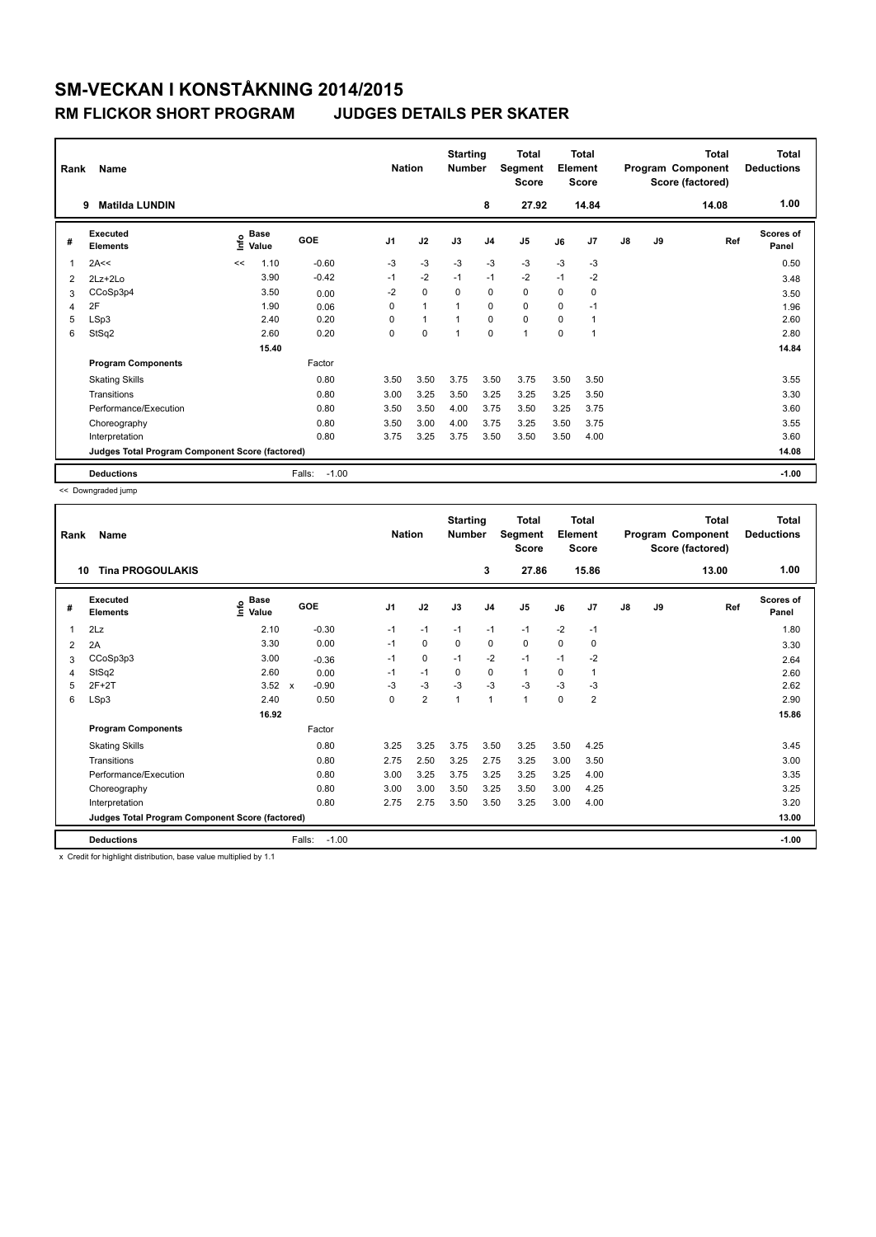### **RM FLICKOR SHORT PROGRAM JUDGES DETAILS PER SKATER**

| Rank | Name<br><b>Matilda LUNDIN</b><br>9              |       |                      |                   | <b>Nation</b>  |                      | <b>Starting</b><br><b>Number</b> | 8              | <b>Total</b><br>Segment<br><b>Score</b><br>27.92 |          | <b>Total</b><br>Element<br><b>Score</b><br>14.84 |               |    | <b>Total</b><br>Program Component<br>Score (factored)<br>14.08 | <b>Total</b><br><b>Deductions</b><br>1.00 |
|------|-------------------------------------------------|-------|----------------------|-------------------|----------------|----------------------|----------------------------------|----------------|--------------------------------------------------|----------|--------------------------------------------------|---------------|----|----------------------------------------------------------------|-------------------------------------------|
| #    | Executed<br><b>Elements</b>                     | Linfo | <b>Base</b><br>Value | GOE               | J <sub>1</sub> | J2                   | J3                               | J <sub>4</sub> | J <sub>5</sub>                                   | J6       | J7                                               | $\mathsf{J}8$ | J9 | Ref                                                            | Scores of<br>Panel                        |
| 1    | 2A<<                                            | <<    | 1.10                 | $-0.60$           | $-3$           | $-3$                 | $-3$                             | $-3$           | $-3$                                             | $-3$     | $-3$                                             |               |    |                                                                | 0.50                                      |
| 2    | $2Lz + 2Lo$                                     |       | 3.90                 | $-0.42$           | $-1$           | $-2$                 | $-1$                             | $-1$           | $-2$                                             | $-1$     | $-2$                                             |               |    |                                                                | 3.48                                      |
| 3    | CCoSp3p4                                        |       | 3.50                 | 0.00              | $-2$           | $\mathbf 0$          | $\Omega$                         | $\mathbf 0$    | $\Omega$                                         | $\Omega$ | 0                                                |               |    |                                                                | 3.50                                      |
| 4    | 2F                                              |       | 1.90                 | 0.06              | 0              | $\blacktriangleleft$ | 1                                | $\mathbf 0$    | $\mathbf 0$                                      | 0        | $-1$                                             |               |    |                                                                | 1.96                                      |
| 5    | LSp3                                            |       | 2.40                 | 0.20              | 0              | 1                    | 1                                | $\Omega$       | $\mathbf 0$                                      | 0        | $\mathbf{1}$                                     |               |    |                                                                | 2.60                                      |
| 6    | StSq2                                           |       | 2.60                 | 0.20              | 0              | $\mathbf 0$          | $\mathbf{1}$                     | $\mathbf 0$    | 1                                                | 0        | 1                                                |               |    |                                                                | 2.80                                      |
|      |                                                 |       | 15.40                |                   |                |                      |                                  |                |                                                  |          |                                                  |               |    |                                                                | 14.84                                     |
|      | <b>Program Components</b>                       |       |                      | Factor            |                |                      |                                  |                |                                                  |          |                                                  |               |    |                                                                |                                           |
|      | <b>Skating Skills</b>                           |       |                      | 0.80              | 3.50           | 3.50                 | 3.75                             | 3.50           | 3.75                                             | 3.50     | 3.50                                             |               |    |                                                                | 3.55                                      |
|      | Transitions                                     |       |                      | 0.80              | 3.00           | 3.25                 | 3.50                             | 3.25           | 3.25                                             | 3.25     | 3.50                                             |               |    |                                                                | 3.30                                      |
|      | Performance/Execution                           |       |                      | 0.80              | 3.50           | 3.50                 | 4.00                             | 3.75           | 3.50                                             | 3.25     | 3.75                                             |               |    |                                                                | 3.60                                      |
|      | Choreography                                    |       |                      | 0.80              | 3.50           | 3.00                 | 4.00                             | 3.75           | 3.25                                             | 3.50     | 3.75                                             |               |    |                                                                | 3.55                                      |
|      | Interpretation                                  |       |                      | 0.80              | 3.75           | 3.25                 | 3.75                             | 3.50           | 3.50                                             | 3.50     | 4.00                                             |               |    |                                                                | 3.60                                      |
|      | Judges Total Program Component Score (factored) |       |                      |                   |                |                      |                                  |                |                                                  |          |                                                  |               |    |                                                                | 14.08                                     |
|      | <b>Deductions</b>                               |       |                      | $-1.00$<br>Falls: |                |                      |                                  |                |                                                  |          |                                                  |               |    |                                                                | $-1.00$                                   |

<< Downgraded jump

| Rank | Name                                            |                              |                                      | <b>Nation</b>  |                | <b>Starting</b><br><b>Number</b> |                | <b>Total</b><br>Segment<br><b>Score</b> |      | Total<br>Element<br><b>Score</b> |               |    | Total<br>Program Component<br>Score (factored) | <b>Total</b><br><b>Deductions</b> |
|------|-------------------------------------------------|------------------------------|--------------------------------------|----------------|----------------|----------------------------------|----------------|-----------------------------------------|------|----------------------------------|---------------|----|------------------------------------------------|-----------------------------------|
| 10   | <b>Tina PROGOULAKIS</b>                         |                              |                                      |                |                |                                  | 3              | 27.86                                   |      | 15.86                            |               |    | 13.00                                          | 1.00                              |
| #    | Executed<br><b>Elements</b>                     | <b>Base</b><br>١nfo<br>Value | GOE                                  | J <sub>1</sub> | J2             | J3                               | J <sub>4</sub> | J <sub>5</sub>                          | J6   | J7                               | $\mathsf{J}8$ | J9 | Ref                                            | <b>Scores of</b><br>Panel         |
| 1    | 2Lz                                             | 2.10                         | $-0.30$                              | $-1$           | $-1$           | $-1$                             | $-1$           | $-1$                                    | $-2$ | $-1$                             |               |    |                                                | 1.80                              |
| 2    | 2A                                              | 3.30                         | 0.00                                 | $-1$           | 0              | 0                                | 0              | 0                                       | 0    | 0                                |               |    |                                                | 3.30                              |
| 3    | CCoSp3p3                                        | 3.00                         | $-0.36$                              | $-1$           | 0              | $-1$                             | $-2$           | $-1$                                    | $-1$ | $-2$                             |               |    |                                                | 2.64                              |
| 4    | StSq2                                           | 2.60                         | 0.00                                 | $-1$           | $-1$           | 0                                | 0              | $\mathbf{1}$                            | 0    | 1                                |               |    |                                                | 2.60                              |
| 5    | $2F+2T$                                         | 3.52                         | $-0.90$<br>$\boldsymbol{\mathsf{x}}$ | $-3$           | $-3$           | $-3$                             | $-3$           | $-3$                                    | $-3$ | $-3$                             |               |    |                                                | 2.62                              |
| 6    | LSp3                                            | 2.40                         | 0.50                                 | 0              | $\overline{2}$ | 1                                | 1              | $\mathbf{1}$                            | 0    | 2                                |               |    |                                                | 2.90                              |
|      |                                                 | 16.92                        |                                      |                |                |                                  |                |                                         |      |                                  |               |    |                                                | 15.86                             |
|      | <b>Program Components</b>                       |                              | Factor                               |                |                |                                  |                |                                         |      |                                  |               |    |                                                |                                   |
|      | <b>Skating Skills</b>                           |                              | 0.80                                 | 3.25           | 3.25           | 3.75                             | 3.50           | 3.25                                    | 3.50 | 4.25                             |               |    |                                                | 3.45                              |
|      | Transitions                                     |                              | 0.80                                 | 2.75           | 2.50           | 3.25                             | 2.75           | 3.25                                    | 3.00 | 3.50                             |               |    |                                                | 3.00                              |
|      | Performance/Execution                           |                              | 0.80                                 | 3.00           | 3.25           | 3.75                             | 3.25           | 3.25                                    | 3.25 | 4.00                             |               |    |                                                | 3.35                              |
|      | Choreography                                    |                              | 0.80                                 | 3.00           | 3.00           | 3.50                             | 3.25           | 3.50                                    | 3.00 | 4.25                             |               |    |                                                | 3.25                              |
|      | Interpretation                                  |                              | 0.80                                 | 2.75           | 2.75           | 3.50                             | 3.50           | 3.25                                    | 3.00 | 4.00                             |               |    |                                                | 3.20                              |
|      | Judges Total Program Component Score (factored) |                              |                                      |                |                |                                  |                |                                         |      |                                  |               |    |                                                | 13.00                             |
|      | <b>Deductions</b>                               |                              | $-1.00$<br>Falls:                    |                |                |                                  |                |                                         |      |                                  |               |    |                                                | $-1.00$                           |

x Credit for highlight distribution, base value multiplied by 1.1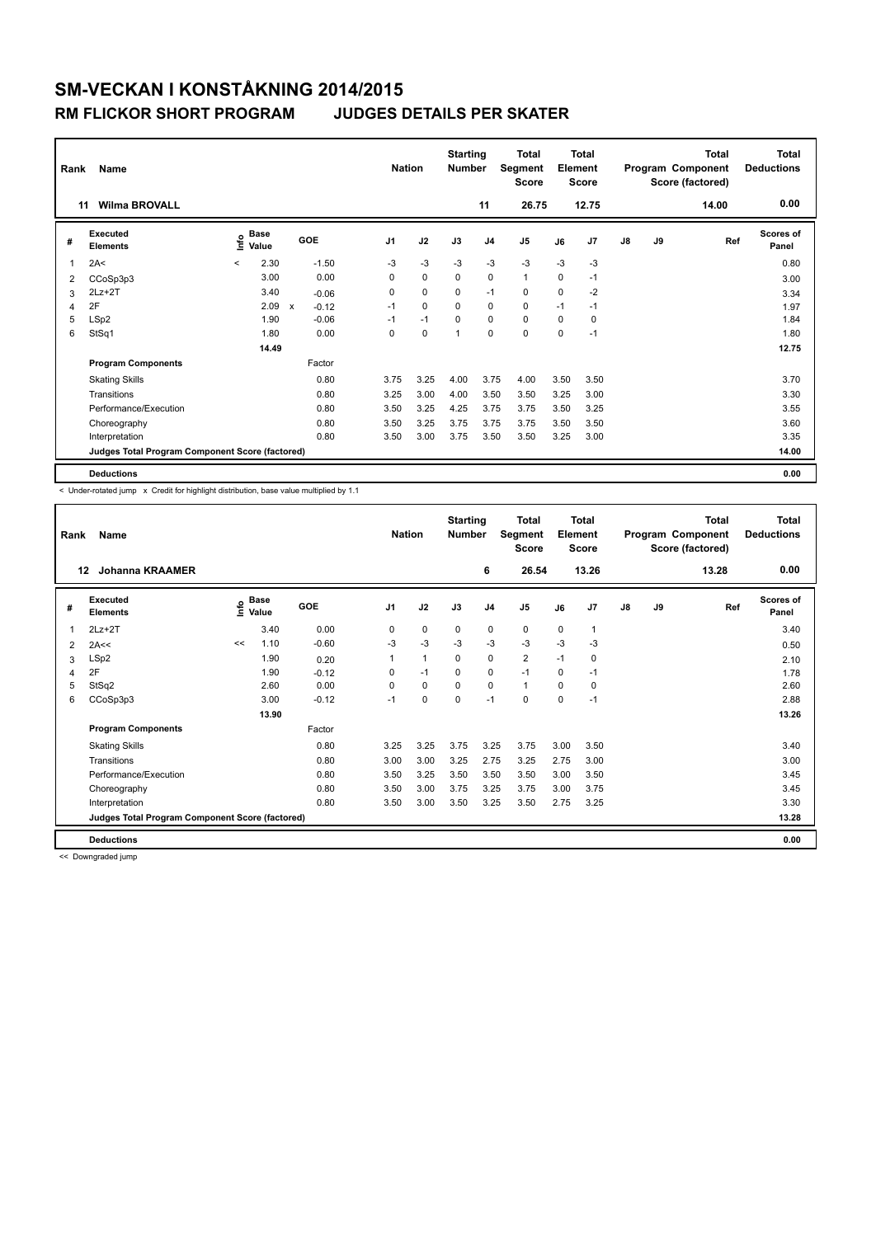### **RM FLICKOR SHORT PROGRAM JUDGES DETAILS PER SKATER**

| Rank | Name                                            |         |                      |              |         | <b>Nation</b>  |             | <b>Starting</b><br><b>Number</b> |                | <b>Total</b><br><b>Segment</b><br><b>Score</b> |      | <b>Total</b><br>Element<br><b>Score</b> |               |    | <b>Total</b><br>Program Component<br>Score (factored) | <b>Total</b><br><b>Deductions</b> |
|------|-------------------------------------------------|---------|----------------------|--------------|---------|----------------|-------------|----------------------------------|----------------|------------------------------------------------|------|-----------------------------------------|---------------|----|-------------------------------------------------------|-----------------------------------|
| 11   | <b>Wilma BROVALL</b>                            |         |                      |              |         |                |             |                                  | 11             | 26.75                                          |      | 12.75                                   |               |    | 14.00                                                 | 0.00                              |
| #    | Executed<br><b>Elements</b>                     | ١nf٥    | <b>Base</b><br>Value |              | GOE     | J <sub>1</sub> | J2          | J3                               | J <sub>4</sub> | J <sub>5</sub>                                 | J6   | J <sub>7</sub>                          | $\mathsf{J}8$ | J9 | Ref                                                   | <b>Scores of</b><br>Panel         |
| 1    | 2A<                                             | $\prec$ | 2.30                 |              | $-1.50$ | $-3$           | $-3$        | $-3$                             | $-3$           | $-3$                                           | $-3$ | $-3$                                    |               |    |                                                       | 0.80                              |
| 2    | CCoSp3p3                                        |         | 3.00                 |              | 0.00    | 0              | $\mathbf 0$ | $\mathbf 0$                      | $\mathbf 0$    | $\mathbf{1}$                                   | 0    | $-1$                                    |               |    |                                                       | 3.00                              |
| 3    | $2Lz+2T$                                        |         | 3.40                 |              | $-0.06$ | 0              | $\mathbf 0$ | $\Omega$                         | $-1$           | $\mathbf 0$                                    | 0    | $-2$                                    |               |    |                                                       | 3.34                              |
| 4    | 2F                                              |         | 2.09                 | $\mathsf{x}$ | $-0.12$ | $-1$           | $\Omega$    | $\Omega$                         | $\Omega$       | $\Omega$                                       | $-1$ | $-1$                                    |               |    |                                                       | 1.97                              |
| 5    | LSp2                                            |         | 1.90                 |              | $-0.06$ | $-1$           | $-1$        | 0                                | $\mathbf 0$    | $\mathbf 0$                                    | 0    | 0                                       |               |    |                                                       | 1.84                              |
| 6    | StSq1                                           |         | 1.80                 |              | 0.00    | 0              | $\mathbf 0$ |                                  | $\mathbf 0$    | $\Omega$                                       | 0    | $-1$                                    |               |    |                                                       | 1.80                              |
|      |                                                 |         | 14.49                |              |         |                |             |                                  |                |                                                |      |                                         |               |    |                                                       | 12.75                             |
|      | <b>Program Components</b>                       |         |                      |              | Factor  |                |             |                                  |                |                                                |      |                                         |               |    |                                                       |                                   |
|      | <b>Skating Skills</b>                           |         |                      |              | 0.80    | 3.75           | 3.25        | 4.00                             | 3.75           | 4.00                                           | 3.50 | 3.50                                    |               |    |                                                       | 3.70                              |
|      | Transitions                                     |         |                      |              | 0.80    | 3.25           | 3.00        | 4.00                             | 3.50           | 3.50                                           | 3.25 | 3.00                                    |               |    |                                                       | 3.30                              |
|      | Performance/Execution                           |         |                      |              | 0.80    | 3.50           | 3.25        | 4.25                             | 3.75           | 3.75                                           | 3.50 | 3.25                                    |               |    |                                                       | 3.55                              |
|      | Choreography                                    |         |                      |              | 0.80    | 3.50           | 3.25        | 3.75                             | 3.75           | 3.75                                           | 3.50 | 3.50                                    |               |    |                                                       | 3.60                              |
|      | Interpretation                                  |         |                      |              | 0.80    | 3.50           | 3.00        | 3.75                             | 3.50           | 3.50                                           | 3.25 | 3.00                                    |               |    |                                                       | 3.35                              |
|      | Judges Total Program Component Score (factored) |         |                      |              |         |                |             |                                  |                |                                                |      |                                         |               |    |                                                       | 14.00                             |
|      | <b>Deductions</b>                               |         |                      |              |         |                |             |                                  |                |                                                |      |                                         |               |    |                                                       | 0.00                              |

< Under-rotated jump x Credit for highlight distribution, base value multiplied by 1.1

| Rank | Name                                            |    |                      |         | <b>Nation</b>  |      | <b>Starting</b><br><b>Number</b> |                | <b>Total</b><br>Segment<br><b>Score</b> |             | <b>Total</b><br>Element<br><b>Score</b> |               |    | <b>Total</b><br>Program Component<br>Score (factored) | Total<br><b>Deductions</b> |
|------|-------------------------------------------------|----|----------------------|---------|----------------|------|----------------------------------|----------------|-----------------------------------------|-------------|-----------------------------------------|---------------|----|-------------------------------------------------------|----------------------------|
| 12   | <b>Johanna KRAAMER</b>                          |    |                      |         |                |      |                                  | 6              | 26.54                                   |             | 13.26                                   |               |    | 13.28                                                 | 0.00                       |
| #    | Executed<br><b>Elements</b>                     | ۴ů | <b>Base</b><br>Value | GOE     | J <sub>1</sub> | J2   | J3                               | J <sub>4</sub> | J <sub>5</sub>                          | J6          | J7                                      | $\mathsf{J}8$ | J9 | Ref                                                   | Scores of<br>Panel         |
| 1    | $2Lz+2T$                                        |    | 3.40                 | 0.00    | 0              | 0    | $\mathbf 0$                      | $\mathbf 0$    | $\mathbf 0$                             | $\mathbf 0$ | $\mathbf{1}$                            |               |    |                                                       | 3.40                       |
| 2    | 2A<<                                            | << | 1.10                 | $-0.60$ | -3             | $-3$ | -3                               | $-3$           | $-3$                                    | -3          | -3                                      |               |    |                                                       | 0.50                       |
| 3    | LSp2                                            |    | 1.90                 | 0.20    | 1              | 1    | $\mathbf 0$                      | $\mathbf 0$    | $\overline{2}$                          | $-1$        | $\mathbf 0$                             |               |    |                                                       | 2.10                       |
| 4    | 2F                                              |    | 1.90                 | $-0.12$ | 0              | $-1$ | $\mathbf 0$                      | $\mathbf 0$    | $-1$                                    | 0           | $-1$                                    |               |    |                                                       | 1.78                       |
| 5    | StSq2                                           |    | 2.60                 | 0.00    | $\Omega$       | 0    | $\Omega$                         | $\mathbf 0$    | $\mathbf{1}$                            | 0           | 0                                       |               |    |                                                       | 2.60                       |
| 6    | CCoSp3p3                                        |    | 3.00                 | $-0.12$ | $-1$           | 0    | 0                                | $-1$           | 0                                       | 0           | $-1$                                    |               |    |                                                       | 2.88                       |
|      |                                                 |    | 13.90                |         |                |      |                                  |                |                                         |             |                                         |               |    |                                                       | 13.26                      |
|      | <b>Program Components</b>                       |    |                      | Factor  |                |      |                                  |                |                                         |             |                                         |               |    |                                                       |                            |
|      | <b>Skating Skills</b>                           |    |                      | 0.80    | 3.25           | 3.25 | 3.75                             | 3.25           | 3.75                                    | 3.00        | 3.50                                    |               |    |                                                       | 3.40                       |
|      | Transitions                                     |    |                      | 0.80    | 3.00           | 3.00 | 3.25                             | 2.75           | 3.25                                    | 2.75        | 3.00                                    |               |    |                                                       | 3.00                       |
|      | Performance/Execution                           |    |                      | 0.80    | 3.50           | 3.25 | 3.50                             | 3.50           | 3.50                                    | 3.00        | 3.50                                    |               |    |                                                       | 3.45                       |
|      | Choreography                                    |    |                      | 0.80    | 3.50           | 3.00 | 3.75                             | 3.25           | 3.75                                    | 3.00        | 3.75                                    |               |    |                                                       | 3.45                       |
|      | Interpretation                                  |    |                      | 0.80    | 3.50           | 3.00 | 3.50                             | 3.25           | 3.50                                    | 2.75        | 3.25                                    |               |    |                                                       | 3.30                       |
|      | Judges Total Program Component Score (factored) |    |                      |         |                |      |                                  |                |                                         |             |                                         |               |    |                                                       | 13.28                      |
|      | <b>Deductions</b>                               |    |                      |         |                |      |                                  |                |                                         |             |                                         |               |    |                                                       | 0.00                       |

<< Downgraded jump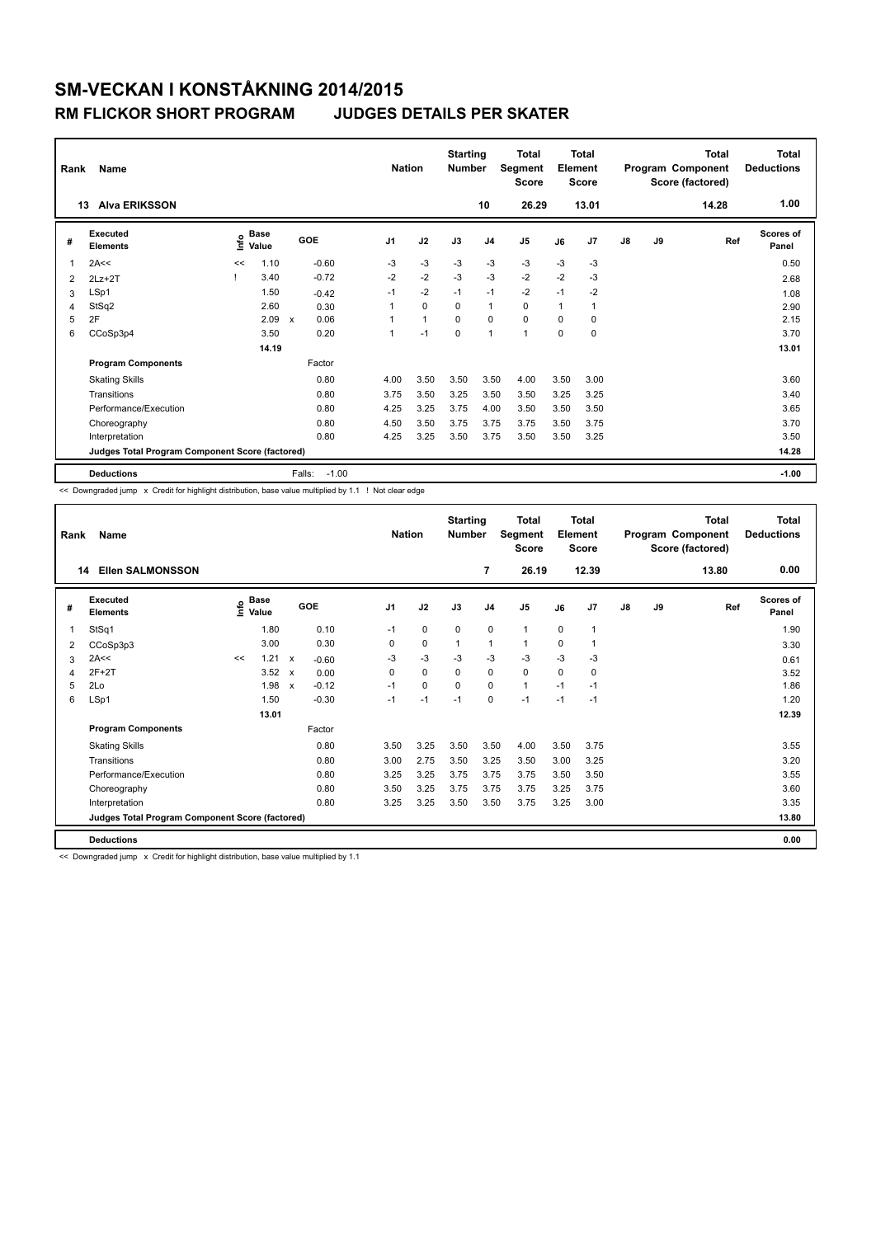### **RM FLICKOR SHORT PROGRAM JUDGES DETAILS PER SKATER**

| Rank | Name<br><b>Alva ERIKSSON</b><br>13              | <b>Nation</b> |                      | <b>Starting</b><br><b>Number</b><br>10 |                | <b>Total</b><br><b>Segment</b><br><b>Score</b><br>26.29 | Total<br>Element<br><b>Score</b><br>13.01 |                |                |      | <b>Total</b><br>Program Component<br>Score (factored)<br>14.28 | <b>Total</b><br><b>Deductions</b><br>1.00 |    |     |                           |
|------|-------------------------------------------------|---------------|----------------------|----------------------------------------|----------------|---------------------------------------------------------|-------------------------------------------|----------------|----------------|------|----------------------------------------------------------------|-------------------------------------------|----|-----|---------------------------|
| #    | Executed<br><b>Elements</b>                     | Linfo         | <b>Base</b><br>Value | GOE                                    | J <sub>1</sub> | J2                                                      | J3                                        | J <sub>4</sub> | J <sub>5</sub> | J6   | J7                                                             | $\mathsf{J}8$                             | J9 | Ref | <b>Scores of</b><br>Panel |
| 1    | 2A<<                                            | <<            | 1.10                 | $-0.60$                                | -3             | $-3$                                                    | $-3$                                      | $-3$           | $-3$           | $-3$ | $-3$                                                           |                                           |    |     | 0.50                      |
| 2    | $2Lz+2T$                                        |               | 3.40                 | $-0.72$                                | $-2$           | $-2$                                                    | $-3$                                      | $-3$           | $-2$           | $-2$ | $-3$                                                           |                                           |    |     | 2.68                      |
| 3    | LSp1                                            |               | 1.50                 | $-0.42$                                | $-1$           | $-2$                                                    | $-1$                                      | $-1$           | $-2$           | $-1$ | $-2$                                                           |                                           |    |     | 1.08                      |
| 4    | StSq2                                           |               | 2.60                 | 0.30                                   |                | $\mathbf 0$                                             | $\Omega$                                  | $\mathbf{1}$   | $\mathbf 0$    | 1    | 1                                                              |                                           |    |     | 2.90                      |
| 5    | 2F                                              |               | 2.09                 | 0.06<br>$\boldsymbol{\mathsf{x}}$      |                | 1                                                       | $\Omega$                                  | $\mathbf 0$    | $\mathbf 0$    | 0    | 0                                                              |                                           |    |     | 2.15                      |
| 6    | CCoSp3p4                                        |               | 3.50                 | 0.20                                   |                | $-1$                                                    | $\Omega$                                  | $\mathbf{1}$   | 1              | 0    | 0                                                              |                                           |    |     | 3.70                      |
|      |                                                 |               | 14.19                |                                        |                |                                                         |                                           |                |                |      |                                                                |                                           |    |     | 13.01                     |
|      | <b>Program Components</b>                       |               |                      | Factor                                 |                |                                                         |                                           |                |                |      |                                                                |                                           |    |     |                           |
|      | <b>Skating Skills</b>                           |               |                      | 0.80                                   | 4.00           | 3.50                                                    | 3.50                                      | 3.50           | 4.00           | 3.50 | 3.00                                                           |                                           |    |     | 3.60                      |
|      | Transitions                                     |               |                      | 0.80                                   | 3.75           | 3.50                                                    | 3.25                                      | 3.50           | 3.50           | 3.25 | 3.25                                                           |                                           |    |     | 3.40                      |
|      | Performance/Execution                           |               |                      | 0.80                                   | 4.25           | 3.25                                                    | 3.75                                      | 4.00           | 3.50           | 3.50 | 3.50                                                           |                                           |    |     | 3.65                      |
|      | Choreography                                    |               |                      | 0.80                                   | 4.50           | 3.50                                                    | 3.75                                      | 3.75           | 3.75           | 3.50 | 3.75                                                           |                                           |    |     | 3.70                      |
|      | Interpretation                                  |               |                      | 0.80                                   | 4.25           | 3.25                                                    | 3.50                                      | 3.75           | 3.50           | 3.50 | 3.25                                                           |                                           |    |     | 3.50                      |
|      | Judges Total Program Component Score (factored) |               |                      |                                        |                |                                                         |                                           |                |                |      |                                                                |                                           |    |     | 14.28                     |
|      | <b>Deductions</b>                               |               |                      | Falls:<br>$-1.00$                      |                |                                                         |                                           |                |                |      |                                                                |                                           |    |     | $-1.00$                   |

<< Downgraded jump x Credit for highlight distribution, base value multiplied by 1.1 ! Not clear edge

|    | Name<br>Rank                                    |    |                                  |                           |         |                | <b>Nation</b> |             | <b>Starting</b><br><b>Number</b> | <b>Total</b><br>Segment<br><b>Score</b> | <b>Total</b><br>Element<br><b>Score</b> |                | <b>Total</b><br>Program Component<br>Score (factored) |    |       | Total<br><b>Deductions</b> |
|----|-------------------------------------------------|----|----------------------------------|---------------------------|---------|----------------|---------------|-------------|----------------------------------|-----------------------------------------|-----------------------------------------|----------------|-------------------------------------------------------|----|-------|----------------------------|
| 14 | <b>Ellen SALMONSSON</b>                         |    |                                  |                           |         |                |               |             | 7                                | 26.19                                   |                                         | 12.39          |                                                       |    | 13.80 | 0.00                       |
| #  | Executed<br><b>Elements</b>                     |    | <b>Base</b><br>e Base<br>⊆ Value |                           | GOE     | J <sub>1</sub> | J2            | J3          | J <sub>4</sub>                   | J <sub>5</sub>                          | J6                                      | J7             | J8                                                    | J9 | Ref   | <b>Scores of</b><br>Panel  |
| 1  | StSq1                                           |    | 1.80                             |                           | 0.10    | $-1$           | 0             | $\mathbf 0$ | $\mathbf 0$                      | $\mathbf{1}$                            | $\mathbf 0$                             | $\overline{1}$ |                                                       |    |       | 1.90                       |
| 2  | CCoSp3p3                                        |    | 3.00                             |                           | 0.30    | 0              | 0             | 1           | $\mathbf{1}$                     | 1                                       | 0                                       | 1              |                                                       |    |       | 3.30                       |
| 3  | 2A<<                                            | << | 1.21                             | $\boldsymbol{\mathsf{x}}$ | $-0.60$ | $-3$           | $-3$          | $-3$        | $-3$                             | $-3$                                    | $-3$                                    | $-3$           |                                                       |    |       | 0.61                       |
| 4  | $2F+2T$                                         |    | 3.52                             | $\mathsf{x}$              | 0.00    | 0              | $\Omega$      | $\Omega$    | $\mathbf 0$                      | 0                                       | 0                                       | 0              |                                                       |    |       | 3.52                       |
| 5  | 2Lo                                             |    | 1.98                             | $\boldsymbol{\mathsf{x}}$ | $-0.12$ | $-1$           | 0             | $\Omega$    | $\Omega$                         | $\mathbf{1}$                            | $-1$                                    | $-1$           |                                                       |    |       | 1.86                       |
| 6  | LSp1                                            |    | 1.50                             |                           | $-0.30$ | $-1$           | $-1$          | $-1$        | $\mathbf 0$                      | $-1$                                    | $-1$                                    | $-1$           |                                                       |    |       | 1.20                       |
|    |                                                 |    | 13.01                            |                           |         |                |               |             |                                  |                                         |                                         |                |                                                       |    |       | 12.39                      |
|    | <b>Program Components</b>                       |    |                                  |                           | Factor  |                |               |             |                                  |                                         |                                         |                |                                                       |    |       |                            |
|    | <b>Skating Skills</b>                           |    |                                  |                           | 0.80    | 3.50           | 3.25          | 3.50        | 3.50                             | 4.00                                    | 3.50                                    | 3.75           |                                                       |    |       | 3.55                       |
|    | Transitions                                     |    |                                  |                           | 0.80    | 3.00           | 2.75          | 3.50        | 3.25                             | 3.50                                    | 3.00                                    | 3.25           |                                                       |    |       | 3.20                       |
|    | Performance/Execution                           |    |                                  |                           | 0.80    | 3.25           | 3.25          | 3.75        | 3.75                             | 3.75                                    | 3.50                                    | 3.50           |                                                       |    |       | 3.55                       |
|    | Choreography                                    |    |                                  |                           | 0.80    | 3.50           | 3.25          | 3.75        | 3.75                             | 3.75                                    | 3.25                                    | 3.75           |                                                       |    |       | 3.60                       |
|    | Interpretation                                  |    |                                  |                           | 0.80    | 3.25           | 3.25          | 3.50        | 3.50                             | 3.75                                    | 3.25                                    | 3.00           |                                                       |    |       | 3.35                       |
|    | Judges Total Program Component Score (factored) |    |                                  |                           |         |                |               |             |                                  |                                         |                                         |                |                                                       |    |       | 13.80                      |
|    | <b>Deductions</b>                               |    |                                  |                           |         |                |               |             |                                  |                                         |                                         |                |                                                       |    |       | 0.00                       |

<< Downgraded jump x Credit for highlight distribution, base value multiplied by 1.1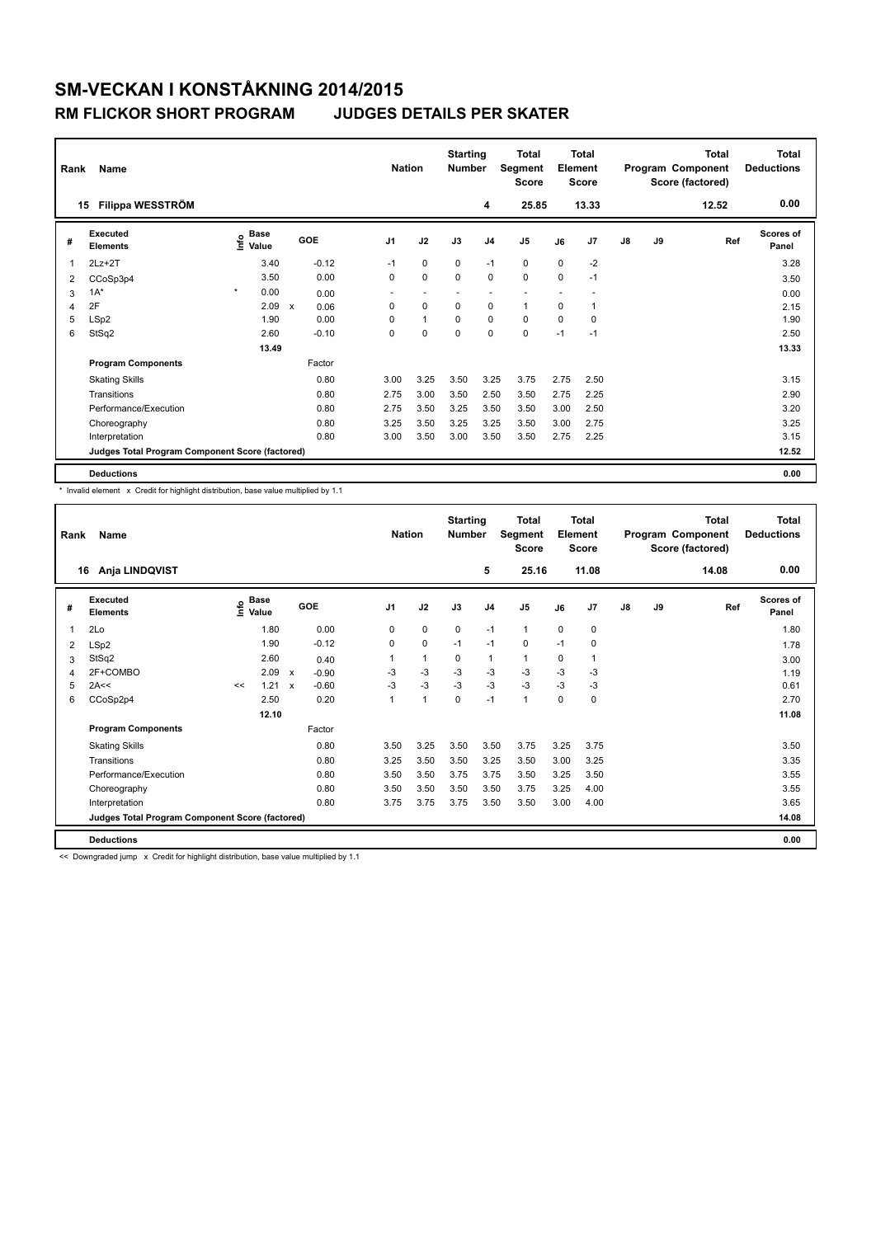### **RM FLICKOR SHORT PROGRAM JUDGES DETAILS PER SKATER**

| Rank | Name                                            |                              | <b>Nation</b>             |         | <b>Starting</b><br><b>Number</b> | <b>Total</b><br>Segment<br><b>Score</b> | <b>Total</b><br>Element<br><b>Score</b> |                |                |             | <b>Total</b><br>Program Component<br>Score (factored) | Total<br><b>Deductions</b> |    |       |                    |
|------|-------------------------------------------------|------------------------------|---------------------------|---------|----------------------------------|-----------------------------------------|-----------------------------------------|----------------|----------------|-------------|-------------------------------------------------------|----------------------------|----|-------|--------------------|
| 15   | Filippa WESSTRÖM                                |                              |                           |         |                                  |                                         |                                         | 4              | 25.85          |             | 13.33                                                 |                            |    | 12.52 | 0.00               |
| #    | Executed<br><b>Elements</b>                     | <b>Base</b><br>١nf٥<br>Value |                           | GOE     | J <sub>1</sub>                   | J2                                      | J3                                      | J <sub>4</sub> | J <sub>5</sub> | J6          | J7                                                    | $\mathsf{J}8$              | J9 | Ref   | Scores of<br>Panel |
| 1    | $2Lz+2T$                                        | 3.40                         |                           | $-0.12$ | $-1$                             | $\mathbf 0$                             | $\mathbf 0$                             | $-1$           | 0              | $\mathbf 0$ | $-2$                                                  |                            |    |       | 3.28               |
| 2    | CCoSp3p4                                        | 3.50                         |                           | 0.00    | 0                                | $\mathbf 0$                             | $\Omega$                                | $\mathbf 0$    | $\mathbf 0$    | 0           | $-1$                                                  |                            |    |       | 3.50               |
| 3    | $1A^*$                                          | $\star$<br>0.00              |                           | 0.00    | $\overline{\phantom{0}}$         | ٠                                       |                                         | ٠              |                |             |                                                       |                            |    |       | 0.00               |
| 4    | 2F                                              | 2.09                         | $\boldsymbol{\mathsf{x}}$ | 0.06    | $\Omega$                         | $\Omega$                                | $\Omega$                                | $\mathbf 0$    | $\mathbf{1}$   | $\Omega$    | 1                                                     |                            |    |       | 2.15               |
| 5    | LSp2                                            | 1.90                         |                           | 0.00    | 0                                | $\mathbf{1}$                            | 0                                       | $\pmb{0}$      | $\mathbf 0$    | 0           | 0                                                     |                            |    |       | 1.90               |
| 6    | StSq2                                           | 2.60                         |                           | $-0.10$ | $\mathbf 0$                      | $\mathbf 0$                             | $\Omega$                                | $\mathbf 0$    | $\mathbf 0$    | $-1$        | $-1$                                                  |                            |    |       | 2.50               |
|      |                                                 | 13.49                        |                           |         |                                  |                                         |                                         |                |                |             |                                                       |                            |    |       | 13.33              |
|      | <b>Program Components</b>                       |                              |                           | Factor  |                                  |                                         |                                         |                |                |             |                                                       |                            |    |       |                    |
|      | <b>Skating Skills</b>                           |                              |                           | 0.80    | 3.00                             | 3.25                                    | 3.50                                    | 3.25           | 3.75           | 2.75        | 2.50                                                  |                            |    |       | 3.15               |
|      | Transitions                                     |                              |                           | 0.80    | 2.75                             | 3.00                                    | 3.50                                    | 2.50           | 3.50           | 2.75        | 2.25                                                  |                            |    |       | 2.90               |
|      | Performance/Execution                           |                              |                           | 0.80    | 2.75                             | 3.50                                    | 3.25                                    | 3.50           | 3.50           | 3.00        | 2.50                                                  |                            |    |       | 3.20               |
|      | Choreography                                    |                              |                           | 0.80    | 3.25                             | 3.50                                    | 3.25                                    | 3.25           | 3.50           | 3.00        | 2.75                                                  |                            |    |       | 3.25               |
|      | Interpretation                                  |                              |                           | 0.80    | 3.00                             | 3.50                                    | 3.00                                    | 3.50           | 3.50           | 2.75        | 2.25                                                  |                            |    |       | 3.15               |
|      | Judges Total Program Component Score (factored) |                              |                           |         |                                  |                                         |                                         |                |                |             |                                                       |                            |    |       | 12.52              |
|      | <b>Deductions</b>                               |                              |                           |         |                                  |                                         |                                         |                |                |             |                                                       |                            |    |       | 0.00               |

\* Invalid element x Credit for highlight distribution, base value multiplied by 1.1

|    | Name<br>Rank                                    |      |                      |                           |         |  |                | <b>Nation</b> |             | <b>Starting</b><br><b>Number</b> | <b>Total</b><br>Segment<br><b>Score</b> | Total<br>Element<br><b>Score</b> |                |    |    | <b>Total</b><br>Program Component<br>Score (factored) | Total<br><b>Deductions</b> |
|----|-------------------------------------------------|------|----------------------|---------------------------|---------|--|----------------|---------------|-------------|----------------------------------|-----------------------------------------|----------------------------------|----------------|----|----|-------------------------------------------------------|----------------------------|
| 16 | Anja LINDQVIST                                  |      |                      |                           |         |  |                |               |             | 5                                | 25.16                                   |                                  | 11.08          |    |    | 14.08                                                 | 0.00                       |
| #  | Executed<br><b>Elements</b>                     | ١nfo | <b>Base</b><br>Value |                           | GOE     |  | J <sub>1</sub> | J2            | J3          | J <sub>4</sub>                   | J <sub>5</sub>                          | J6                               | J7             | J8 | J9 | Ref                                                   | <b>Scores of</b><br>Panel  |
| 1  | 2Lo                                             |      | 1.80                 |                           | 0.00    |  | 0              | 0             | $\mathbf 0$ | $-1$                             | $\mathbf{1}$                            | $\mathbf 0$                      | $\mathbf 0$    |    |    |                                                       | 1.80                       |
| 2  | LSp2                                            |      | 1.90                 |                           | $-0.12$ |  | 0              | 0             | $-1$        | $-1$                             | 0                                       | $-1$                             | 0              |    |    |                                                       | 1.78                       |
| 3  | StSq2                                           |      | 2.60                 |                           | 0.40    |  | 1              | 1             | $\mathbf 0$ | $\mathbf{1}$                     | $\mathbf{1}$                            | 0                                | $\overline{1}$ |    |    |                                                       | 3.00                       |
| 4  | 2F+COMBO                                        |      | 2.09                 | $\boldsymbol{\mathsf{x}}$ | $-0.90$ |  | $-3$           | $-3$          | $-3$        | $-3$                             | $-3$                                    | $-3$                             | -3             |    |    |                                                       | 1.19                       |
| 5  | 2A<<                                            | <<   | 1.21                 | $\mathbf{x}$              | $-0.60$ |  | $-3$           | $-3$          | $-3$        | $-3$                             | $-3$                                    | $-3$                             | -3             |    |    |                                                       | 0.61                       |
| 6  | CCoSp2p4                                        |      | 2.50                 |                           | 0.20    |  | 1              | $\mathbf{1}$  | $\mathbf 0$ | $-1$                             | 1                                       | $\mathbf 0$                      | $\mathbf 0$    |    |    |                                                       | 2.70                       |
|    |                                                 |      | 12.10                |                           |         |  |                |               |             |                                  |                                         |                                  |                |    |    |                                                       | 11.08                      |
|    | <b>Program Components</b>                       |      |                      |                           | Factor  |  |                |               |             |                                  |                                         |                                  |                |    |    |                                                       |                            |
|    | <b>Skating Skills</b>                           |      |                      |                           | 0.80    |  | 3.50           | 3.25          | 3.50        | 3.50                             | 3.75                                    | 3.25                             | 3.75           |    |    |                                                       | 3.50                       |
|    | Transitions                                     |      |                      |                           | 0.80    |  | 3.25           | 3.50          | 3.50        | 3.25                             | 3.50                                    | 3.00                             | 3.25           |    |    |                                                       | 3.35                       |
|    | Performance/Execution                           |      |                      |                           | 0.80    |  | 3.50           | 3.50          | 3.75        | 3.75                             | 3.50                                    | 3.25                             | 3.50           |    |    |                                                       | 3.55                       |
|    | Choreography                                    |      |                      |                           | 0.80    |  | 3.50           | 3.50          | 3.50        | 3.50                             | 3.75                                    | 3.25                             | 4.00           |    |    |                                                       | 3.55                       |
|    | Interpretation                                  |      |                      |                           | 0.80    |  | 3.75           | 3.75          | 3.75        | 3.50                             | 3.50                                    | 3.00                             | 4.00           |    |    |                                                       | 3.65                       |
|    | Judges Total Program Component Score (factored) |      |                      |                           |         |  |                |               |             |                                  |                                         |                                  |                |    |    |                                                       | 14.08                      |
|    | <b>Deductions</b>                               |      |                      |                           |         |  |                |               |             |                                  |                                         |                                  |                |    |    |                                                       | 0.00                       |

<< Downgraded jump x Credit for highlight distribution, base value multiplied by 1.1